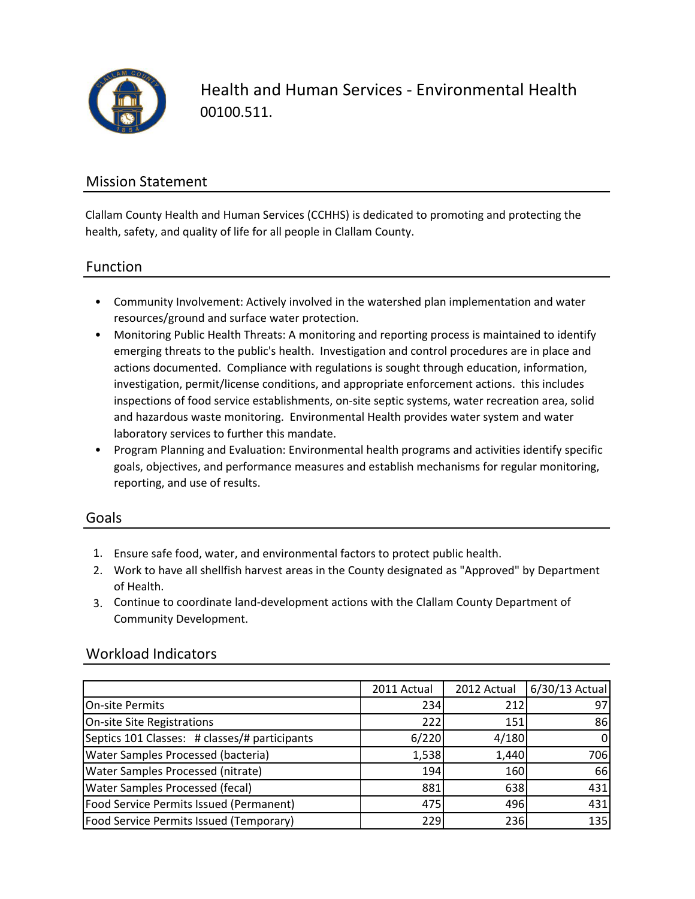

Health and Human Services - Environmental Health 00100.511.

### Mission Statement

Clallam County Health and Human Services (CCHHS) is dedicated to promoting and protecting the health, safety, and quality of life for all people in Clallam County.

### Function

- Community Involvement: Actively involved in the watershed plan implementation and water resources/ground and surface water protection.
- Monitoring Public Health Threats: A monitoring and reporting process is maintained to identify emerging threats to the public's health. Investigation and control procedures are in place and actions documented. Compliance with regulations is sought through education, information, investigation, permit/license conditions, and appropriate enforcement actions. this includes inspections of food service establishments, on-site septic systems, water recreation area, solid and hazardous waste monitoring. Environmental Health provides water system and water laboratory services to further this mandate.
- Program Planning and Evaluation: Environmental health programs and activities identify specific goals, objectives, and performance measures and establish mechanisms for regular monitoring, reporting, and use of results.

### Goals

- 1. Ensure safe food, water, and environmental factors to protect public health.
- 2. Work to have all shellfish harvest areas in the County designated as "Approved" by Department of Health.
- 3. Continue to coordinate land-development actions with the Clallam County Department of Community Development.

### Workload Indicators

|                                                | 2011 Actual | 2012 Actual | 6/30/13 Actual |
|------------------------------------------------|-------------|-------------|----------------|
| On-site Permits                                | 234         | 212         | 97             |
| On-site Site Registrations                     | 222         | 151         | 86             |
| Septics 101 Classes: # classes/# participants  | 6/220       | 4/180       | $\Omega$       |
| <b>Water Samples Processed (bacteria)</b>      | 1,538       | 1,440       | 706            |
| <b>Water Samples Processed (nitrate)</b>       | 194         | 160         | 66             |
| <b>Water Samples Processed (fecal)</b>         | 881         | 638         | 431            |
| Food Service Permits Issued (Permanent)        | 475         | 496         | 431            |
| <b>Food Service Permits Issued (Temporary)</b> | 2291        | 236         | 135            |